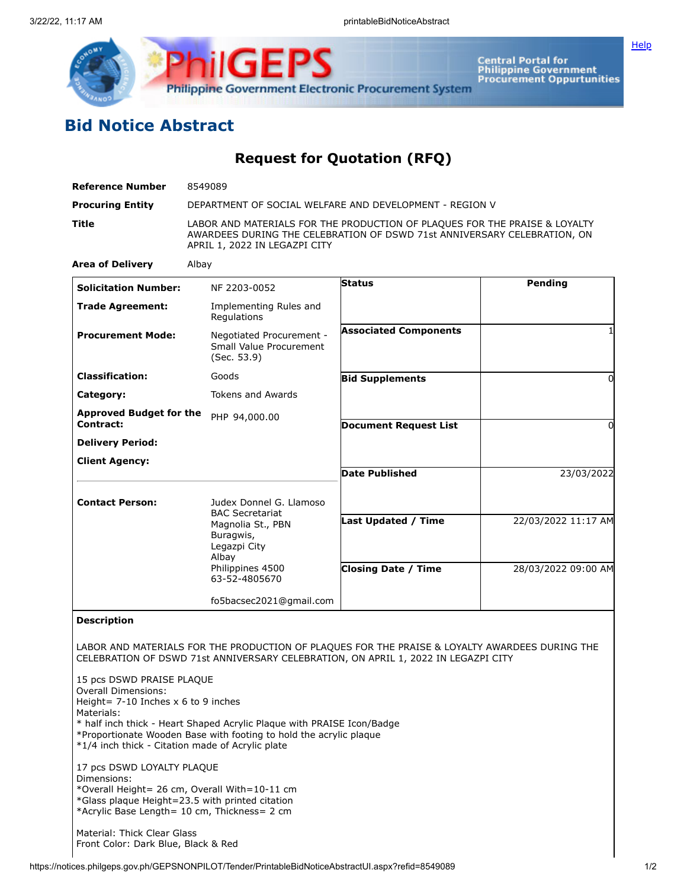

Central Portal for<br>Philippine Government<br>Procurement Oppurtunities

**[Help](javascript:void(window.open()** 

## **Bid Notice Abstract**

**Request for Quotation (RFQ)**

| <b>Reference Number</b>                     | 8549089                                                                                                                                                                                 |                              |                     |
|---------------------------------------------|-----------------------------------------------------------------------------------------------------------------------------------------------------------------------------------------|------------------------------|---------------------|
| <b>Procuring Entity</b>                     | DEPARTMENT OF SOCIAL WELFARE AND DEVELOPMENT - REGION V                                                                                                                                 |                              |                     |
| <b>Title</b>                                | LABOR AND MATERIALS FOR THE PRODUCTION OF PLAQUES FOR THE PRAISE & LOYALTY<br>AWARDEES DURING THE CELEBRATION OF DSWD 71st ANNIVERSARY CELEBRATION, ON<br>APRIL 1, 2022 IN LEGAZPI CITY |                              |                     |
| <b>Area of Delivery</b>                     | Albay                                                                                                                                                                                   |                              |                     |
| <b>Solicitation Number:</b>                 | NF 2203-0052                                                                                                                                                                            | <b>Status</b>                | Pending             |
| <b>Trade Agreement:</b>                     | Implementing Rules and<br>Regulations                                                                                                                                                   |                              |                     |
| <b>Procurement Mode:</b>                    | Negotiated Procurement -<br>Small Value Procurement<br>(Sec. 53.9)                                                                                                                      | <b>Associated Components</b> | 1                   |
| <b>Classification:</b>                      | Goods                                                                                                                                                                                   | <b>Bid Supplements</b>       | 0                   |
| Category:                                   | <b>Tokens and Awards</b>                                                                                                                                                                |                              |                     |
| <b>Approved Budget for the</b><br>Contract: | PHP 94,000.00                                                                                                                                                                           | <b>Document Request List</b> | 0                   |
| <b>Delivery Period:</b>                     |                                                                                                                                                                                         |                              |                     |
| <b>Client Agency:</b>                       |                                                                                                                                                                                         |                              |                     |
|                                             |                                                                                                                                                                                         | <b>Date Published</b>        | 23/03/2022          |
| <b>Contact Person:</b>                      | Judex Donnel G. Llamoso                                                                                                                                                                 |                              |                     |
|                                             | <b>BAC Secretariat</b><br>Magnolia St., PBN<br>Buragwis,<br>Legazpi City<br>Albay<br>Philippines 4500<br>63-52-4805670                                                                  | Last Updated / Time          | 22/03/2022 11:17 AM |
|                                             |                                                                                                                                                                                         | <b>Closing Date / Time</b>   | 28/03/2022 09:00 AM |
|                                             | fo5bacsec2021@gmail.com                                                                                                                                                                 |                              |                     |
| <b>Description</b>                          |                                                                                                                                                                                         |                              |                     |

LABOR AND MATERIALS FOR THE PRODUCTION OF PLAQUES FOR THE PRAISE & LOYALTY AWARDEES DURING THE CELEBRATION OF DSWD 71st ANNIVERSARY CELEBRATION, ON APRIL 1, 2022 IN LEGAZPI CITY

15 pcs DSWD PRAISE PLAQUE Overall Dimensions: Height= 7-10 Inches x 6 to 9 inches Materials: \* half inch thick - Heart Shaped Acrylic Plaque with PRAISE Icon/Badge \*Proportionate Wooden Base with footing to hold the acrylic plaque \*1/4 inch thick - Citation made of Acrylic plate 17 pcs DSWD LOYALTY PLAQUE Dimensions: \*Overall Height= 26 cm, Overall With=10-11 cm \*Glass plaque Height=23.5 with printed citation \*Acrylic Base Length= 10 cm, Thickness= 2 cm

Material: Thick Clear Glass Front Color: Dark Blue, Black & Red